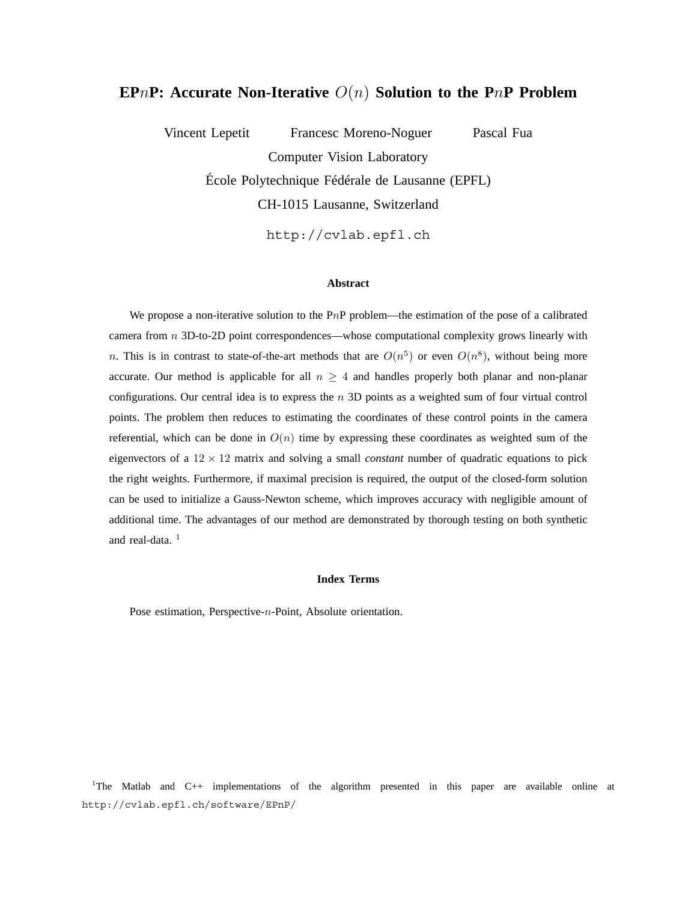# **EP**n**P:** Accurate Non-Iterative  $O(n)$  Solution to the P<sub>n</sub>P Problem

Vincent Lepetit Francesc Moreno-Noguer Pascal Fua Computer Vision Laboratory École Polytechnique Fédérale de Lausanne (EPFL) CH-1015 Lausanne, Switzerland http://cvlab.epfl.ch

#### **Abstract**

We propose a non-iterative solution to the PnP problem—the estimation of the pose of a calibrated camera from  $n$  3D-to-2D point correspondences—whose computational complexity grows linearly with n. This is in contrast to state-of-the-art methods that are  $O(n^5)$  or even  $O(n^8)$ , without being more accurate. Our method is applicable for all  $n \geq 4$  and handles properly both planar and non-planar configurations. Our central idea is to express the  $n$  3D points as a weighted sum of four virtual control points. The problem then reduces to estimating the coordinates of these control points in the camera referential, which can be done in  $O(n)$  time by expressing these coordinates as weighted sum of the eigenvectors of a  $12 \times 12$  matrix and solving a small *constant* number of quadratic equations to pick the right weights. Furthermore, if maximal precision is required, the output of the closed-form solution can be used to initialize a Gauss-Newton scheme, which improves accuracy with negligible amount of additional time. The advantages of our method are demonstrated by thorough testing on both synthetic and real-data. $1$ 

#### **Index Terms**

Pose estimation, Perspective-n-Point, Absolute orientation.

1 The Matlab and C++ implementations of the algorithm presented in this paper are available online at http://cvlab.epfl.ch/software/EPnP/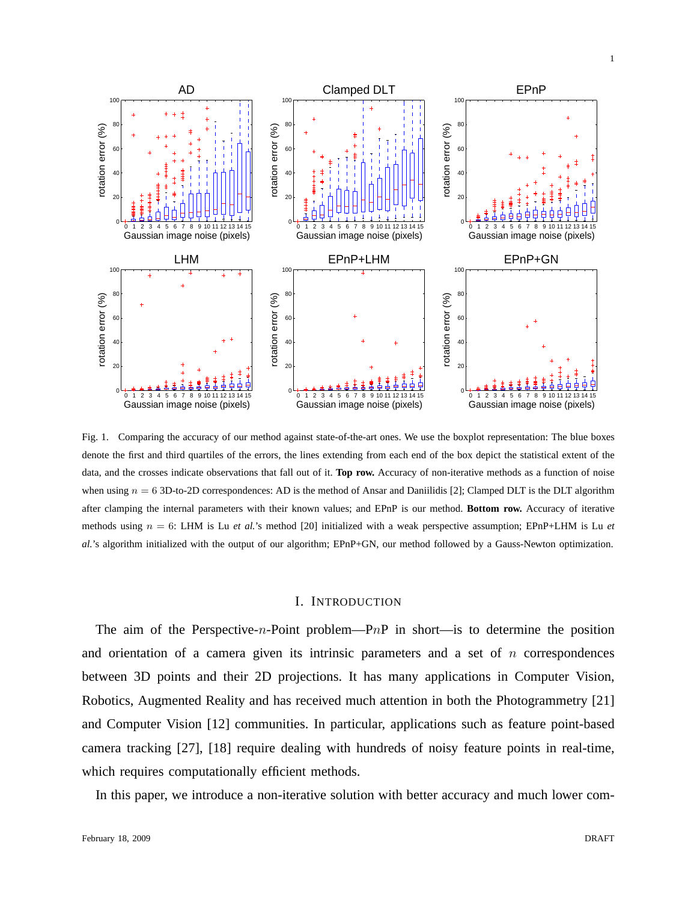

Fig. 1. Comparing the accuracy of our method against state-of-the-art ones. We use the boxplot representation: The blue boxes denote the first and third quartiles of the errors, the lines extending from each end of the box depict the statistical extent of the data, and the crosses indicate observations that fall out of it. **Top row.** Accuracy of non-iterative methods as a function of noise when using  $n = 6$  3D-to-2D correspondences: AD is the method of Ansar and Daniilidis [2]; Clamped DLT is the DLT algorithm after clamping the internal parameters with their known values; and EPnP is our method. **Bottom row.** Accuracy of iterative methods using  $n = 6$ : LHM is Lu *et al.*'s method [20] initialized with a weak perspective assumption; EPnP+LHM is Lu *et al.*'s algorithm initialized with the output of our algorithm; EPnP+GN, our method followed by a Gauss-Newton optimization.

#### I. INTRODUCTION

The aim of the Perspective-n-Point problem—PnP in short—is to determine the position and orientation of a camera given its intrinsic parameters and a set of  $n$  correspondences between 3D points and their 2D projections. It has many applications in Computer Vision, Robotics, Augmented Reality and has received much attention in both the Photogrammetry [21] and Computer Vision [12] communities. In particular, applications such as feature point-based camera tracking [27], [18] require dealing with hundreds of noisy feature points in real-time, which requires computationally efficient methods.

In this paper, we introduce a non-iterative solution with better accuracy and much lower com-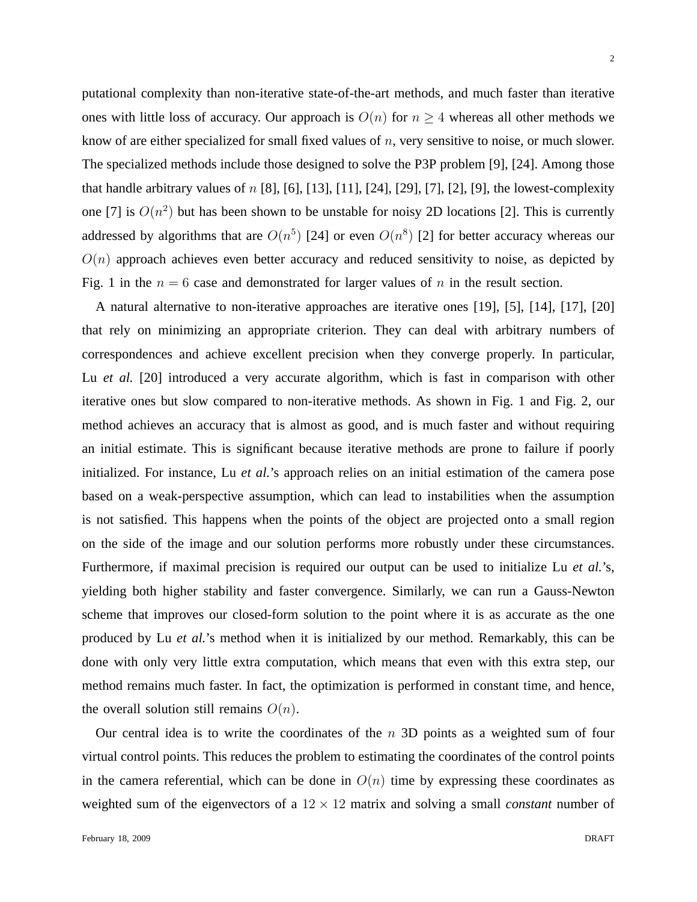putational complexity than non-iterative state-of-the-art methods, and much faster than iterative ones with little loss of accuracy. Our approach is  $O(n)$  for  $n \geq 4$  whereas all other methods we know of are either specialized for small fixed values of  $n$ , very sensitive to noise, or much slower. The specialized methods include those designed to solve the P3P problem [9], [24]. Among those that handle arbitrary values of  $n$  [8], [6], [13], [11], [24], [29], [7], [2], [9], the lowest-complexity one [7] is  $O(n^2)$  but has been shown to be unstable for noisy 2D locations [2]. This is currently addressed by algorithms that are  $O(n^5)$  [24] or even  $O(n^8)$  [2] for better accuracy whereas our  $O(n)$  approach achieves even better accuracy and reduced sensitivity to noise, as depicted by Fig. 1 in the  $n = 6$  case and demonstrated for larger values of n in the result section.

A natural alternative to non-iterative approaches are iterative ones [19], [5], [14], [17], [20] that rely on minimizing an appropriate criterion. They can deal with arbitrary numbers of correspondences and achieve excellent precision when they converge properly. In particular, Lu *et al.* [20] introduced a very accurate algorithm, which is fast in comparison with other iterative ones but slow compared to non-iterative methods. As shown in Fig. 1 and Fig. 2, our method achieves an accuracy that is almost as good, and is much faster and without requiring an initial estimate. This is significant because iterative methods are prone to failure if poorly initialized. For instance, Lu *et al.*'s approach relies on an initial estimation of the camera pose based on a weak-perspective assumption, which can lead to instabilities when the assumption is not satisfied. This happens when the points of the object are projected onto a small region on the side of the image and our solution performs more robustly under these circumstances. Furthermore, if maximal precision is required our output can be used to initialize Lu *et al.*'s, yielding both higher stability and faster convergence. Similarly, we can run a Gauss-Newton scheme that improves our closed-form solution to the point where it is as accurate as the one produced by Lu *et al.*'s method when it is initialized by our method. Remarkably, this can be done with only very little extra computation, which means that even with this extra step, our method remains much faster. In fact, the optimization is performed in constant time, and hence, the overall solution still remains  $O(n)$ .

Our central idea is to write the coordinates of the  $n$  3D points as a weighted sum of four virtual control points. This reduces the problem to estimating the coordinates of the control points in the camera referential, which can be done in  $O(n)$  time by expressing these coordinates as weighted sum of the eigenvectors of a  $12 \times 12$  matrix and solving a small *constant* number of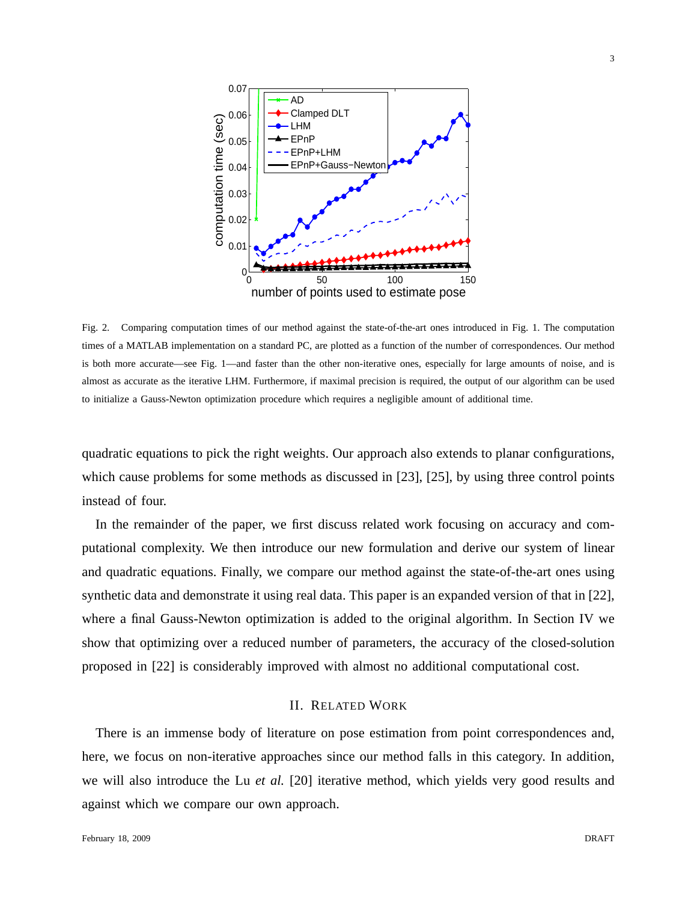

Fig. 2. Comparing computation times of our method against the state-of-the-art ones introduced in Fig. 1. The computation times of a MATLAB implementation on a standard PC, are plotted as a function of the number of correspondences. Our method is both more accurate—see Fig. 1—and faster than the other non-iterative ones, especially for large amounts of noise, and is almost as accurate as the iterative LHM. Furthermore, if maximal precision is required, the output of our algorithm can be used to initialize a Gauss-Newton optimization procedure which requires a negligible amount of additional time.

quadratic equations to pick the right weights. Our approach also extends to planar configurations, which cause problems for some methods as discussed in [23], [25], by using three control points instead of four.

In the remainder of the paper, we first discuss related work focusing on accuracy and computational complexity. We then introduce our new formulation and derive our system of linear and quadratic equations. Finally, we compare our method against the state-of-the-art ones using synthetic data and demonstrate it using real data. This paper is an expanded version of that in [22], where a final Gauss-Newton optimization is added to the original algorithm. In Section IV we show that optimizing over a reduced number of parameters, the accuracy of the closed-solution proposed in [22] is considerably improved with almost no additional computational cost.

# II. RELATED WORK

There is an immense body of literature on pose estimation from point correspondences and, here, we focus on non-iterative approaches since our method falls in this category. In addition, we will also introduce the Lu *et al.* [20] iterative method, which yields very good results and against which we compare our own approach.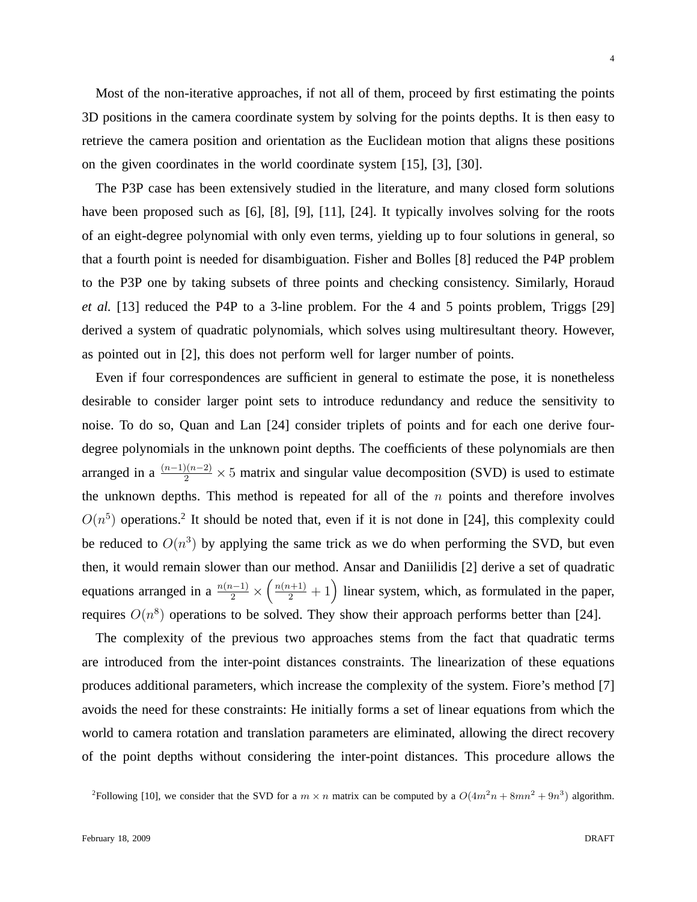Most of the non-iterative approaches, if not all of them, proceed by first estimating the points 3D positions in the camera coordinate system by solving for the points depths. It is then easy to retrieve the camera position and orientation as the Euclidean motion that aligns these positions on the given coordinates in the world coordinate system [15], [3], [30].

The P3P case has been extensively studied in the literature, and many closed form solutions have been proposed such as [6], [8], [9], [11], [24]. It typically involves solving for the roots of an eight-degree polynomial with only even terms, yielding up to four solutions in general, so that a fourth point is needed for disambiguation. Fisher and Bolles [8] reduced the P4P problem to the P3P one by taking subsets of three points and checking consistency. Similarly, Horaud *et al.* [13] reduced the P4P to a 3-line problem. For the 4 and 5 points problem, Triggs [29] derived a system of quadratic polynomials, which solves using multiresultant theory. However, as pointed out in [2], this does not perform well for larger number of points.

Even if four correspondences are sufficient in general to estimate the pose, it is nonetheless desirable to consider larger point sets to introduce redundancy and reduce the sensitivity to noise. To do so, Quan and Lan [24] consider triplets of points and for each one derive fourdegree polynomials in the unknown point depths. The coefficients of these polynomials are then arranged in a  $\frac{(n-1)(n-2)}{2} \times 5$  matrix and singular value decomposition (SVD) is used to estimate the unknown depths. This method is repeated for all of the  $n$  points and therefore involves  $O(n^5)$  operations.<sup>2</sup> It should be noted that, even if it is not done in [24], this complexity could be reduced to  $O(n^3)$  by applying the same trick as we do when performing the SVD, but even then, it would remain slower than our method. Ansar and Daniilidis [2] derive a set of quadratic equations arranged in a  $\frac{n(n-1)}{2} \times \left(\frac{n(n+1)}{2} + 1\right)$  linear system, which, as formulated in the paper, requires  $O(n^8)$  operations to be solved. They show their approach performs better than [24].

The complexity of the previous two approaches stems from the fact that quadratic terms are introduced from the inter-point distances constraints. The linearization of these equations produces additional parameters, which increase the complexity of the system. Fiore's method [7] avoids the need for these constraints: He initially forms a set of linear equations from which the world to camera rotation and translation parameters are eliminated, allowing the direct recovery of the point depths without considering the inter-point distances. This procedure allows the

<sup>&</sup>lt;sup>2</sup>Following [10], we consider that the SVD for a  $m \times n$  matrix can be computed by a  $O(4m^2n + 8mn^2 + 9n^3)$  algorithm.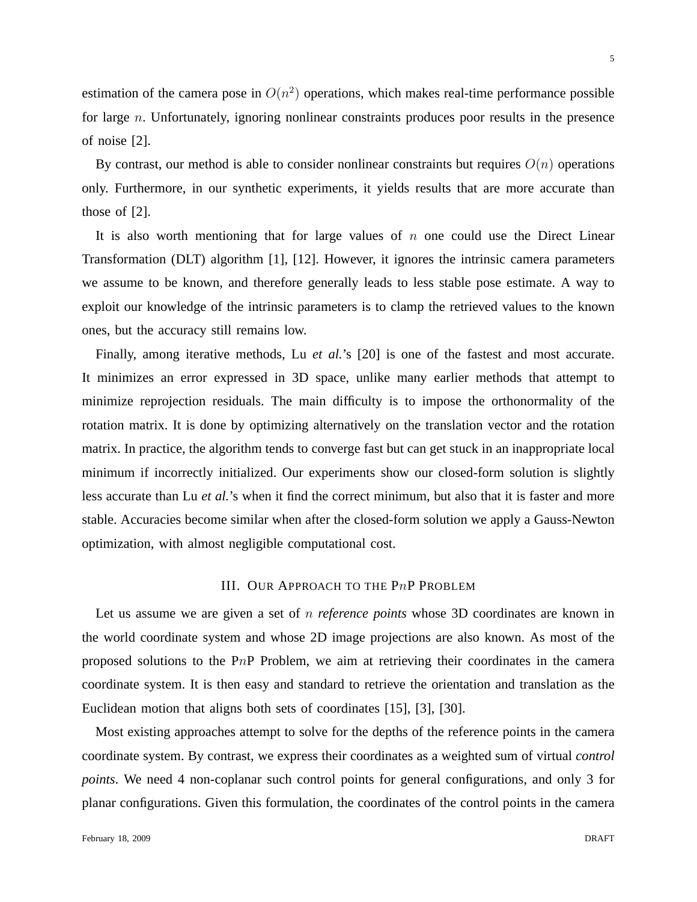estimation of the camera pose in  $O(n^2)$  operations, which makes real-time performance possible for large  $n$ . Unfortunately, ignoring nonlinear constraints produces poor results in the presence of noise [2].

By contrast, our method is able to consider nonlinear constraints but requires  $O(n)$  operations only. Furthermore, in our synthetic experiments, it yields results that are more accurate than those of [2].

It is also worth mentioning that for large values of  $n$  one could use the Direct Linear Transformation (DLT) algorithm [1], [12]. However, it ignores the intrinsic camera parameters we assume to be known, and therefore generally leads to less stable pose estimate. A way to exploit our knowledge of the intrinsic parameters is to clamp the retrieved values to the known ones, but the accuracy still remains low.

Finally, among iterative methods, Lu *et al.*'s [20] is one of the fastest and most accurate. It minimizes an error expressed in 3D space, unlike many earlier methods that attempt to minimize reprojection residuals. The main difficulty is to impose the orthonormality of the rotation matrix. It is done by optimizing alternatively on the translation vector and the rotation matrix. In practice, the algorithm tends to converge fast but can get stuck in an inappropriate local minimum if incorrectly initialized. Our experiments show our closed-form solution is slightly less accurate than Lu *et al.*'s when it find the correct minimum, but also that it is faster and more stable. Accuracies become similar when after the closed-form solution we apply a Gauss-Newton optimization, with almost negligible computational cost.

### III. OUR APPROACH TO THE PnP PROBLEM

Let us assume we are given a set of n *reference points* whose 3D coordinates are known in the world coordinate system and whose 2D image projections are also known. As most of the proposed solutions to the PnP Problem, we aim at retrieving their coordinates in the camera coordinate system. It is then easy and standard to retrieve the orientation and translation as the Euclidean motion that aligns both sets of coordinates [15], [3], [30].

Most existing approaches attempt to solve for the depths of the reference points in the camera coordinate system. By contrast, we express their coordinates as a weighted sum of virtual *control points*. We need 4 non-coplanar such control points for general configurations, and only 3 for planar configurations. Given this formulation, the coordinates of the control points in the camera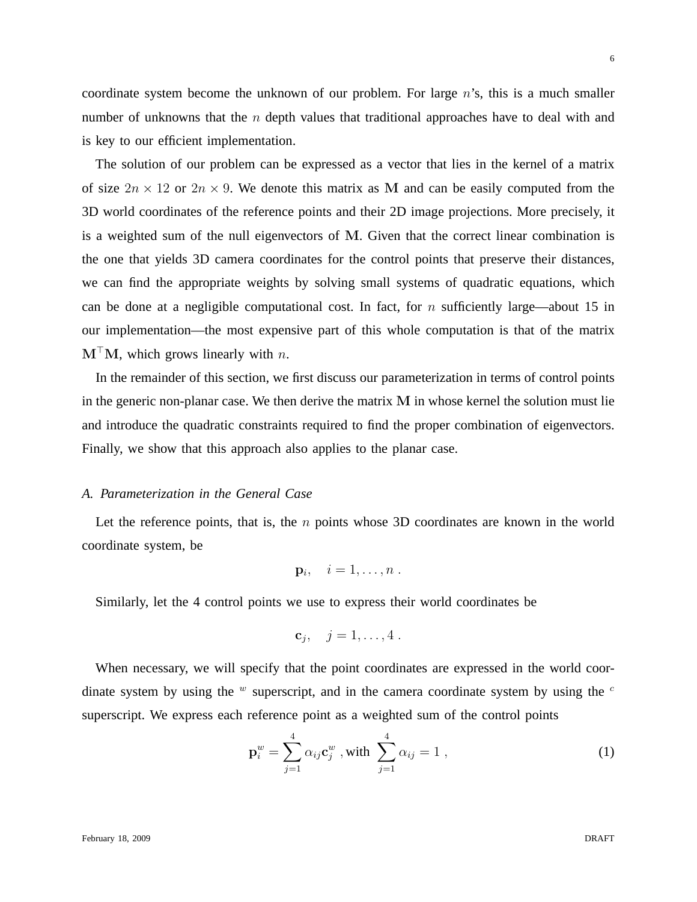coordinate system become the unknown of our problem. For large  $n$ 's, this is a much smaller number of unknowns that the  $n$  depth values that traditional approaches have to deal with and is key to our efficient implementation.

The solution of our problem can be expressed as a vector that lies in the kernel of a matrix of size  $2n \times 12$  or  $2n \times 9$ . We denote this matrix as M and can be easily computed from the 3D world coordinates of the reference points and their 2D image projections. More precisely, it is a weighted sum of the null eigenvectors of **M**. Given that the correct linear combination is the one that yields 3D camera coordinates for the control points that preserve their distances, we can find the appropriate weights by solving small systems of quadratic equations, which can be done at a negligible computational cost. In fact, for n sufficiently large—about 15 in our implementation—the most expensive part of this whole computation is that of the matrix  $M<sup>T</sup>M$ , which grows linearly with *n*.

In the remainder of this section, we first discuss our parameterization in terms of control points in the generic non-planar case. We then derive the matrix **M** in whose kernel the solution must lie and introduce the quadratic constraints required to find the proper combination of eigenvectors. Finally, we show that this approach also applies to the planar case.

# *A. Parameterization in the General Case*

Let the reference points, that is, the  $n$  points whose 3D coordinates are known in the world coordinate system, be

$$
\mathbf{p}_i, \quad i=1,\ldots,n.
$$

Similarly, let the 4 control points we use to express their world coordinates be

$$
c_j, \quad j=1,\ldots,4.
$$

When necessary, we will specify that the point coordinates are expressed in the world coordinate system by using the *<sup>w</sup>* superscript, and in the camera coordinate system by using the *<sup>c</sup>* superscript. We express each reference point as a weighted sum of the control points

$$
\mathbf{p}_{i}^{w} = \sum_{j=1}^{4} \alpha_{ij} \mathbf{c}_{j}^{w}, \text{ with } \sum_{j=1}^{4} \alpha_{ij} = 1, \qquad (1)
$$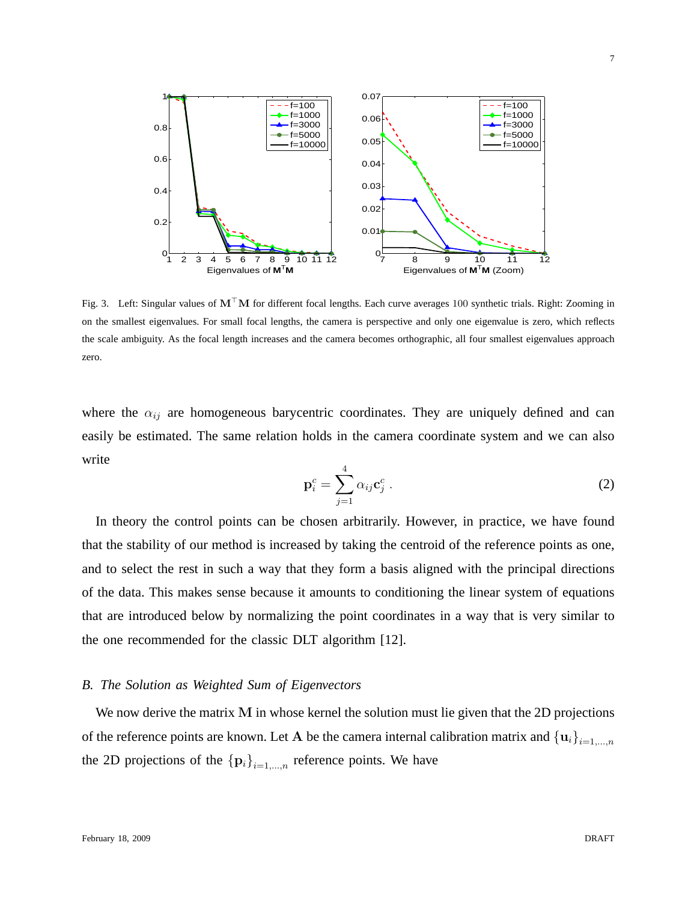

Fig. 3. Left: Singular values of **M**-**M** for different focal lengths. Each curve averages 100 synthetic trials. Right: Zooming in on the smallest eigenvalues. For small focal lengths, the camera is perspective and only one eigenvalue is zero, which reflects the scale ambiguity. As the focal length increases and the camera becomes orthographic, all four smallest eigenvalues approach zero.

where the  $\alpha_{ij}$  are homogeneous barycentric coordinates. They are uniquely defined and can easily be estimated. The same relation holds in the camera coordinate system and we can also write

$$
\mathbf{p}_i^c = \sum_{j=1}^4 \alpha_{ij} \mathbf{c}_j^c \,. \tag{2}
$$

In theory the control points can be chosen arbitrarily. However, in practice, we have found that the stability of our method is increased by taking the centroid of the reference points as one, and to select the rest in such a way that they form a basis aligned with the principal directions of the data. This makes sense because it amounts to conditioning the linear system of equations that are introduced below by normalizing the point coordinates in a way that is very similar to the one recommended for the classic DLT algorithm [12].

### *B. The Solution as Weighted Sum of Eigenvectors*

We now derive the matrix M in whose kernel the solution must lie given that the 2D projections of the reference points are known. Let A be the camera internal calibration matrix and  ${\bf{u}_i}_{i=1,...,n}$ the 2D projections of the  ${\bf p}_i$ <sub> $i=1,...,n$ </sub> reference points. We have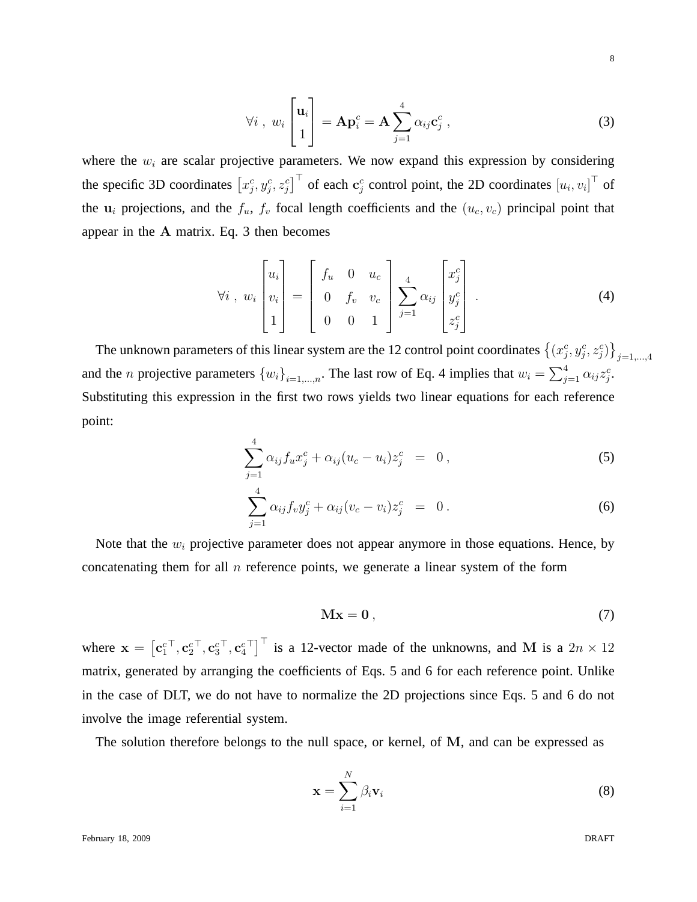$$
\forall i \; , \; w_i \begin{bmatrix} \mathbf{u}_i \\ 1 \end{bmatrix} = \mathbf{A} \mathbf{p}_i^c = \mathbf{A} \sum_{j=1}^4 \alpha_{ij} \mathbf{c}_j^c \; , \tag{3}
$$

where the  $w_i$  are scalar projective parameters. We now expand this expression by considering the specific 3D coordinates  $[x_j^c, y_j^c, z_j^c]^\top$  of each  $\mathbf{c}_j^c$  control point, the 2D coordinates  $[u_i, v_i]^\top$  of the  $\mathbf{u}_i$  projections, and the  $f_u$ ,  $f_v$  focal length coefficients and the  $(u_c, v_c)$  principal point that appear in the **A** matrix. Eq. 3 then becomes

$$
\forall i \; , \; w_i \begin{bmatrix} u_i \\ v_i \\ 1 \end{bmatrix} = \begin{bmatrix} f_u & 0 & u_c \\ 0 & f_v & v_c \\ 0 & 0 & 1 \end{bmatrix} \sum_{j=1}^4 \alpha_{ij} \begin{bmatrix} x_j^c \\ y_j^c \\ z_j^c \end{bmatrix} . \tag{4}
$$

The unknown parameters of this linear system are the 12 control point coordinates  $\{(x_j^c, y_j^c, z_j^c)\}$ *j*=1*,...,*4 and the *n* projective parameters  $\{w_i\}_{i=1,\dots,n}$ . The last row of Eq. 4 implies that  $w_i = \sum_{j=1}^4 \alpha_{ij} z_j^c$ . Substituting this expression in the first two rows yields two linear equations for each reference point:

$$
\sum_{j=1}^{4} \alpha_{ij} f_u x_j^c + \alpha_{ij} (u_c - u_i) z_j^c = 0, \qquad (5)
$$

$$
\sum_{j=1}^{4} \alpha_{ij} f_v y_j^c + \alpha_{ij} (v_c - v_i) z_j^c = 0.
$$
 (6)

Note that the w*<sup>i</sup>* projective parameter does not appear anymore in those equations. Hence, by concatenating them for all  $n$  reference points, we generate a linear system of the form

$$
\mathbf{Mx} = \mathbf{0} \,, \tag{7}
$$

where  $\mathbf{x} = \left[\mathbf{c}_1^c{}^{\top}, \mathbf{c}_2^c{}^{\top}, \mathbf{c}_3^c{}^{\top}, \mathbf{c}_4^c{}^{\top}\right]^\top$  is a 12-vector made of the unknowns, and M is a  $2n \times 12$ matrix, generated by arranging the coefficients of Eqs. 5 and 6 for each reference point. Unlike in the case of DLT, we do not have to normalize the 2D projections since Eqs. 5 and 6 do not involve the image referential system.

The solution therefore belongs to the null space, or kernel, of **M**, and can be expressed as

$$
\mathbf{x} = \sum_{i=1}^{N} \beta_i \mathbf{v}_i \tag{8}
$$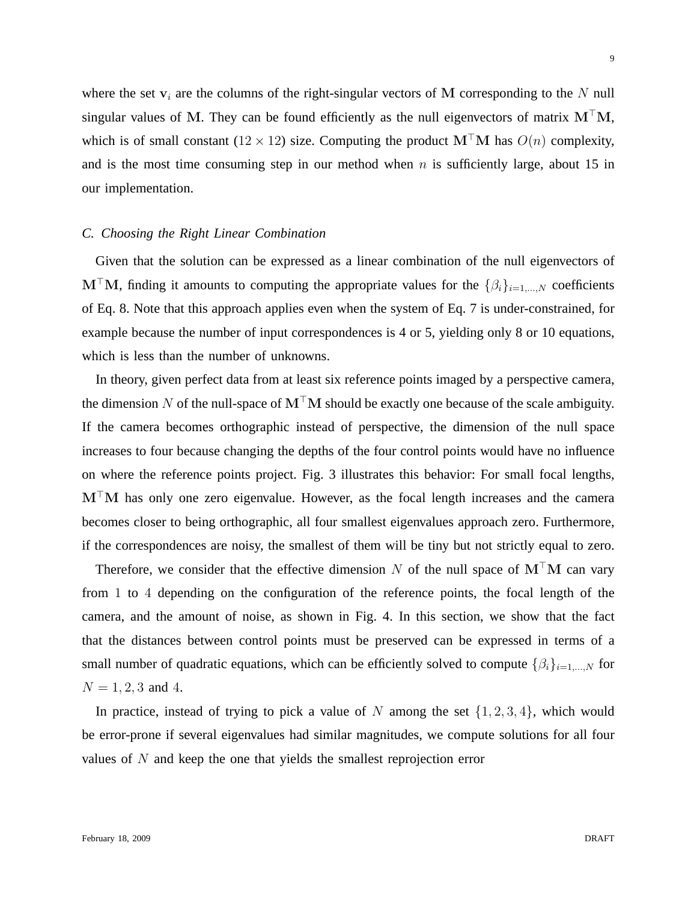where the set  $v_i$  are the columns of the right-singular vectors of M corresponding to the N null singular values of M. They can be found efficiently as the null eigenvectors of matrix  $M<sup>T</sup>M$ , which is of small constant ( $12 \times 12$ ) size. Computing the product  $M<sup>T</sup>M$  has  $O(n)$  complexity, and is the most time consuming step in our method when  $n$  is sufficiently large, about 15 in our implementation.

# *C. Choosing the Right Linear Combination*

Given that the solution can be expressed as a linear combination of the null eigenvectors of  $M<sup>T</sup>M$ , finding it amounts to computing the appropriate values for the  $\{\beta_i\}_{i=1,\dots,N}$  coefficients of Eq. 8. Note that this approach applies even when the system of Eq. 7 is under-constrained, for example because the number of input correspondences is 4 or 5, yielding only 8 or 10 equations, which is less than the number of unknowns.

In theory, given perfect data from at least six reference points imaged by a perspective camera, the dimension N of the null-space of  $M<sup>T</sup>M$  should be exactly one because of the scale ambiguity. If the camera becomes orthographic instead of perspective, the dimension of the null space increases to four because changing the depths of the four control points would have no influence on where the reference points project. Fig. 3 illustrates this behavior: For small focal lengths,  $M<sup>T</sup>M$  has only one zero eigenvalue. However, as the focal length increases and the camera becomes closer to being orthographic, all four smallest eigenvalues approach zero. Furthermore, if the correspondences are noisy, the smallest of them will be tiny but not strictly equal to zero.

Therefore, we consider that the effective dimension N of the null space of  $M<sup>T</sup>M$  can vary from 1 to 4 depending on the configuration of the reference points, the focal length of the camera, and the amount of noise, as shown in Fig. 4. In this section, we show that the fact that the distances between control points must be preserved can be expressed in terms of a small number of quadratic equations, which can be efficiently solved to compute  $\{\beta_i\}_{i=1,\dots,N}$  for  $N = 1, 2, 3$  and 4.

In practice, instead of trying to pick a value of N among the set  $\{1, 2, 3, 4\}$ , which would be error-prone if several eigenvalues had similar magnitudes, we compute solutions for all four values of N and keep the one that yields the smallest reprojection error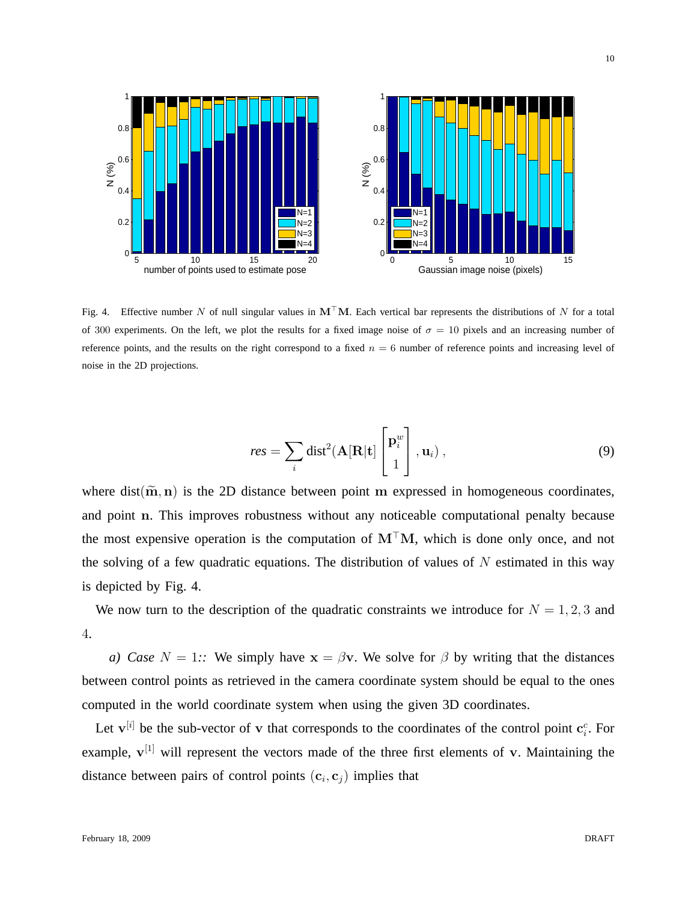

Fig. 4. Effective number N of null singular values in  $M<sup>+</sup>M$ . Each vertical bar represents the distributions of N for a total of 300 experiments. On the left, we plot the results for a fixed image noise of  $\sigma = 10$  pixels and an increasing number of reference points, and the results on the right correspond to a fixed  $n = 6$  number of reference points and increasing level of noise in the 2D projections.

$$
res = \sum_{i} \text{dist}^{2}(\mathbf{A}[\mathbf{R}|\mathbf{t}]\begin{bmatrix} \mathbf{p}_{i}^{w} \\ 1 \end{bmatrix}, \mathbf{u}_{i}), \qquad (9)
$$

where  $dist(\tilde{m}, n)$  is the 2D distance between point  $m$  expressed in homogeneous coordinates, and point **n**. This improves robustness without any noticeable computational penalty because the most expensive operation is the computation of  $M<sup>T</sup>M$ , which is done only once, and not the solving of a few quadratic equations. The distribution of values of  $N$  estimated in this way is depicted by Fig. 4.

We now turn to the description of the quadratic constraints we introduce for  $N = 1, 2, 3$  and 4.

*a)* Case  $N = 1$ :: We simply have  $\mathbf{x} = \beta \mathbf{v}$ . We solve for  $\beta$  by writing that the distances between control points as retrieved in the camera coordinate system should be equal to the ones computed in the world coordinate system when using the given 3D coordinates.

Let  $\mathbf{v}^{[i]}$  be the sub-vector of  $\mathbf{v}$  that corresponds to the coordinates of the control point  $\mathbf{c}^c_i$ . For example, **v**[1] will represent the vectors made of the three first elements of **v**. Maintaining the distance between pairs of control points  $(c_i, c_j)$  implies that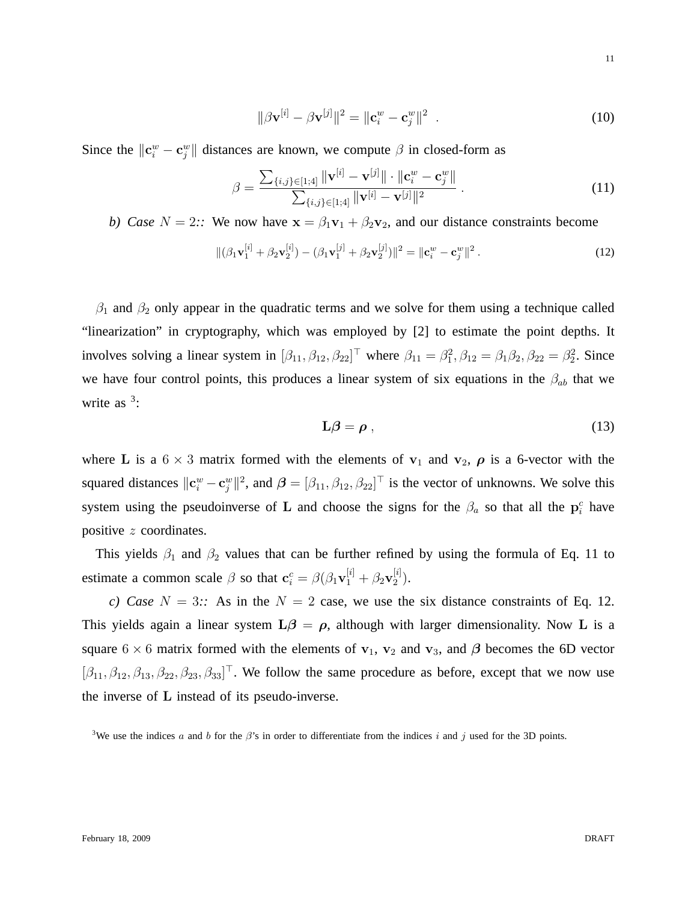$$
\|\beta \mathbf{v}^{[i]} - \beta \mathbf{v}^{[j]}\|^2 = \|\mathbf{c}_i^w - \mathbf{c}_j^w\|^2 \quad . \tag{10}
$$

Since the  $\|\mathbf{c}^w_i - \mathbf{c}^w_j\|$  distances are known, we compute  $\beta$  in closed-form as

$$
\beta = \frac{\sum_{\{i,j\} \in [1;4]} ||\mathbf{v}^{[i]} - \mathbf{v}^{[j]}|| \cdot ||\mathbf{c}_i^w - \mathbf{c}_j^w||}{\sum_{\{i,j\} \in [1;4]} ||\mathbf{v}^{[i]} - \mathbf{v}^{[j]}||^2}.
$$
\n(11)

*b)* Case  $N = 2$ :: We now have  $\mathbf{x} = \beta_1 \mathbf{v}_1 + \beta_2 \mathbf{v}_2$ , and our distance constraints become

$$
\|(\beta_1 \mathbf{v}_1^{[i]} + \beta_2 \mathbf{v}_2^{[i]}) - (\beta_1 \mathbf{v}_1^{[j]} + \beta_2 \mathbf{v}_2^{[j]})\|^2 = \|\mathbf{c}_i^w - \mathbf{c}_j^w\|^2.
$$
 (12)

 $\beta_1$  and  $\beta_2$  only appear in the quadratic terms and we solve for them using a technique called "linearization" in cryptography, which was employed by [2] to estimate the point depths. It involves solving a linear system in  $[\beta_{11}, \beta_{12}, \beta_{22}]^{\top}$  where  $\beta_{11} = \beta_1^2, \beta_{12} = \beta_1 \beta_2, \beta_{22} = \beta_2^2$ . Since we have four control points, this produces a linear system of six equations in the  $\beta_{ab}$  that we write as  $3$ :

$$
\mathbf{L}\boldsymbol{\beta} = \boldsymbol{\rho} \,, \tag{13}
$$

where **L** is a  $6 \times 3$  matrix formed with the elements of  $v_1$  and  $v_2$ ,  $\rho$  is a 6-vector with the squared distances  $\|\mathbf{c}^w_i - \mathbf{c}^w_j\|^2$ , and  $\boldsymbol{\beta} = [\beta_{11}, \beta_{12}, \beta_{22}]^\top$  is the vector of unknowns. We solve this system using the pseudoinverse of **L** and choose the signs for the  $\beta_a$  so that all the  $\mathbf{p}_i^c$  have positive z coordinates.

This yields  $\beta_1$  and  $\beta_2$  values that can be further refined by using the formula of Eq. 11 to estimate a common scale  $\beta$  so that  $\mathbf{c}^c_i = \beta(\beta_1 \mathbf{v}_1^{[i]} + \beta_2 \mathbf{v}_2^{[i]})$ .

*c)* Case  $N = 3$ :: As in the  $N = 2$  case, we use the six distance constraints of Eq. 12. This yields again a linear system  $L\beta = \rho$ , although with larger dimensionality. Now L is a square 6  $\times$  6 matrix formed with the elements of **v**<sub>1</sub>, **v**<sub>2</sub> and **v**<sub>3</sub>, and  $\beta$  becomes the 6D vector  $[\beta_{11}, \beta_{12}, \beta_{13}, \beta_{22}, \beta_{23}, \beta_{33}]^T$ . We follow the same procedure as before, except that we now use the inverse of **L** instead of its pseudo-inverse.

<sup>&</sup>lt;sup>3</sup>We use the indices a and b for the  $\beta$ 's in order to differentiate from the indices i and j used for the 3D points.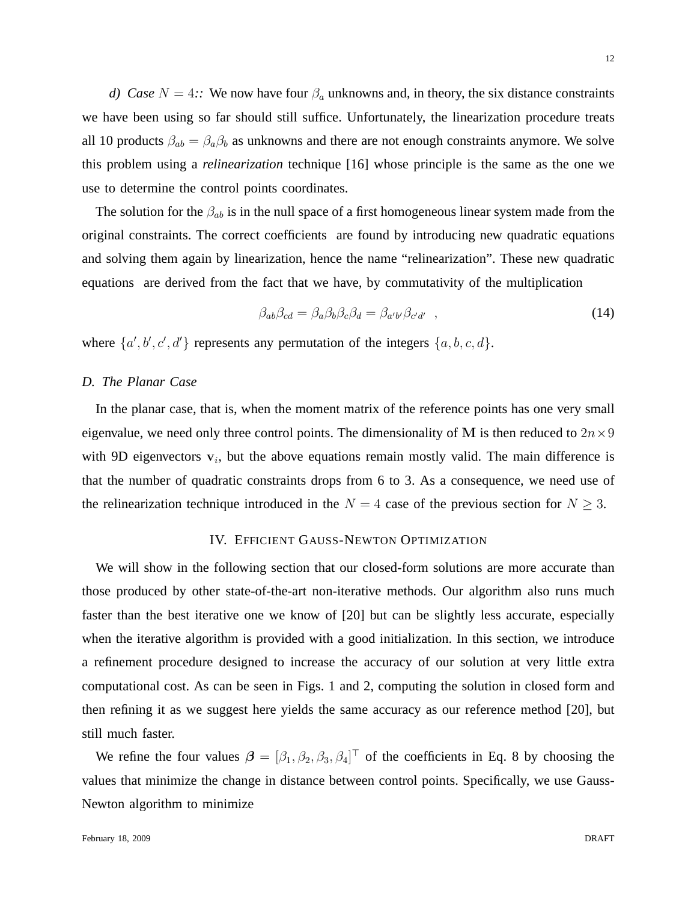*d)* Case  $N = 4$ :: We now have four  $\beta_a$  unknowns and, in theory, the six distance constraints we have been using so far should still suffice. Unfortunately, the linearization procedure treats all 10 products  $\beta_{ab} = \beta_a \beta_b$  as unknowns and there are not enough constraints anymore. We solve this problem using a *relinearization* technique [16] whose principle is the same as the one we use to determine the control points coordinates.

The solution for the  $\beta_{ab}$  is in the null space of a first homogeneous linear system made from the original constraints. The correct coefficients are found by introducing new quadratic equations and solving them again by linearization, hence the name "relinearization". These new quadratic equations are derived from the fact that we have, by commutativity of the multiplication

$$
\beta_{ab}\beta_{cd} = \beta_a \beta_b \beta_c \beta_d = \beta_{a'b'} \beta_{c'd'} , \qquad (14)
$$

where  $\{a', b', c', d'\}$  represents any permutation of the integers  $\{a, b, c, d\}.$ 

# *D. The Planar Case*

In the planar case, that is, when the moment matrix of the reference points has one very small eigenvalue, we need only three control points. The dimensionality of M is then reduced to  $2n \times 9$ with 9D eigenvectors  $v_i$ , but the above equations remain mostly valid. The main difference is that the number of quadratic constraints drops from 6 to 3. As a consequence, we need use of the relinearization technique introduced in the  $N = 4$  case of the previous section for  $N \geq 3$ .

# IV. EFFICIENT GAUSS-NEWTON OPTIMIZATION

We will show in the following section that our closed-form solutions are more accurate than those produced by other state-of-the-art non-iterative methods. Our algorithm also runs much faster than the best iterative one we know of [20] but can be slightly less accurate, especially when the iterative algorithm is provided with a good initialization. In this section, we introduce a refinement procedure designed to increase the accuracy of our solution at very little extra computational cost. As can be seen in Figs. 1 and 2, computing the solution in closed form and then refining it as we suggest here yields the same accuracy as our reference method [20], but still much faster.

We refine the four values  $\boldsymbol{\beta} = [\beta_1, \beta_2, \beta_3, \beta_4]^\top$  of the coefficients in Eq. 8 by choosing the values that minimize the change in distance between control points. Specifically, we use Gauss-Newton algorithm to minimize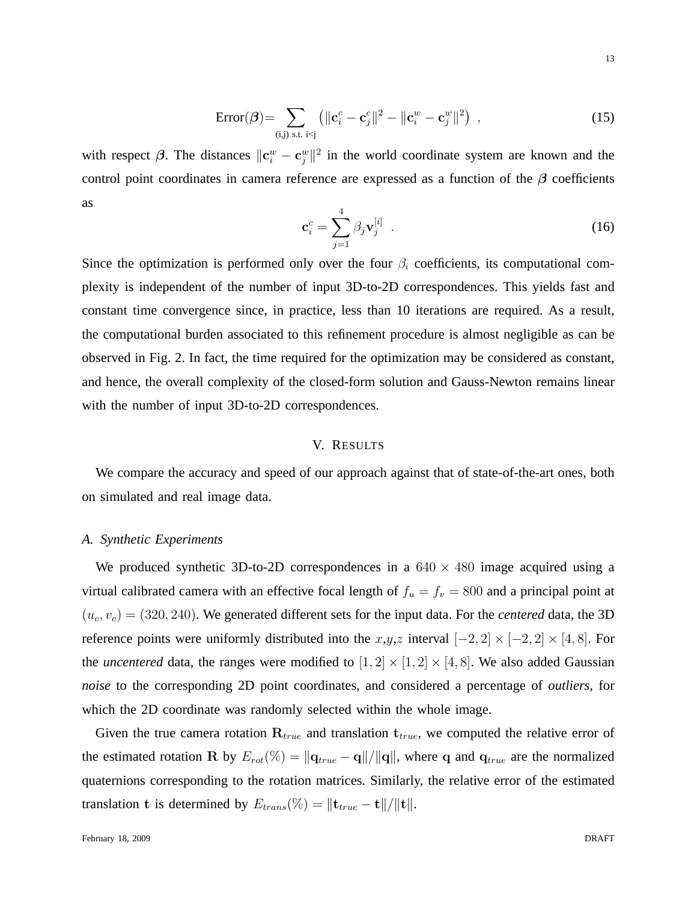$$
Error(\boldsymbol{\beta}) = \sum_{(i,j) \text{ s.t. } i < j} \left( ||\mathbf{c}_i^c - \mathbf{c}_j^c||^2 - ||\mathbf{c}_i^w - \mathbf{c}_j^w||^2 \right) ,\tag{15}
$$

with respect  $\beta$ . The distances  $\|\mathbf{c}^w_i - \mathbf{c}^w_i\|^2$  in the world coordinate system are known and the control point coordinates in camera reference are expressed as a function of the *β* coefficients as

$$
\mathbf{c}_i^c = \sum_{j=1}^4 \beta_j \mathbf{v}_j^{[i]} \tag{16}
$$

Since the optimization is performed only over the four  $\beta_i$  coefficients, its computational complexity is independent of the number of input 3D-to-2D correspondences. This yields fast and constant time convergence since, in practice, less than 10 iterations are required. As a result, the computational burden associated to this refinement procedure is almost negligible as can be observed in Fig. 2. In fact, the time required for the optimization may be considered as constant, and hence, the overall complexity of the closed-form solution and Gauss-Newton remains linear with the number of input 3D-to-2D correspondences.

# V. RESULTS

We compare the accuracy and speed of our approach against that of state-of-the-art ones, both on simulated and real image data.

#### *A. Synthetic Experiments*

We produced synthetic 3D-to-2D correspondences in a  $640 \times 480$  image acquired using a virtual calibrated camera with an effective focal length of  $f_u = f_v = 800$  and a principal point at  $(u_c, v_c) = (320, 240)$ . We generated different sets for the input data. For the *centered* data, the 3D reference points were uniformly distributed into the  $x,y,z$  interval  $[-2,2] \times [-2,2] \times [4,8]$ . For the *uncentered* data, the ranges were modified to  $[1, 2] \times [1, 2] \times [4, 8]$ . We also added Gaussian *noise* to the corresponding 2D point coordinates, and considered a percentage of *outliers*, for which the 2D coordinate was randomly selected within the whole image.

Given the true camera rotation  $\mathbf{R}_{true}$  and translation  $\mathbf{t}_{true}$ , we computed the relative error of the estimated rotation **R** by  $E_{rot}(\%) = ||\mathbf{q}_{true} - \mathbf{q}||/||\mathbf{q}||$ , where q and  $\mathbf{q}_{true}$  are the normalized quaternions corresponding to the rotation matrices. Similarly, the relative error of the estimated translation **t** is determined by  $E_{trans}(\%) = \|\mathbf{t}_{true} - \mathbf{t}\|/\|\mathbf{t}\|.$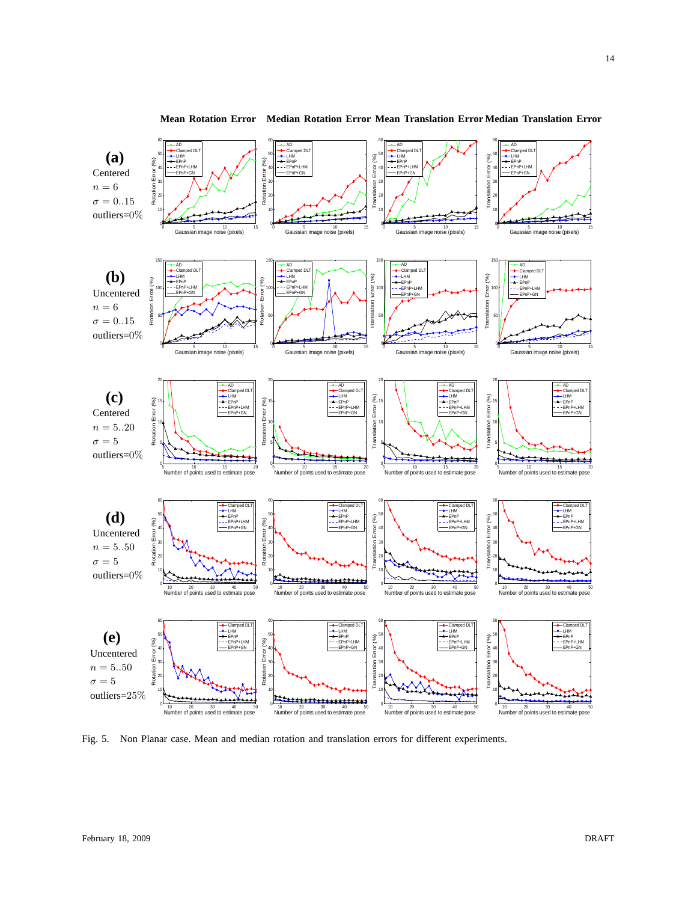

#### **Mean Rotation Error Median Rotation Error Mean Translation Error Median Translation Error**

Fig. 5. Non Planar case. Mean and median rotation and translation errors for different experiments.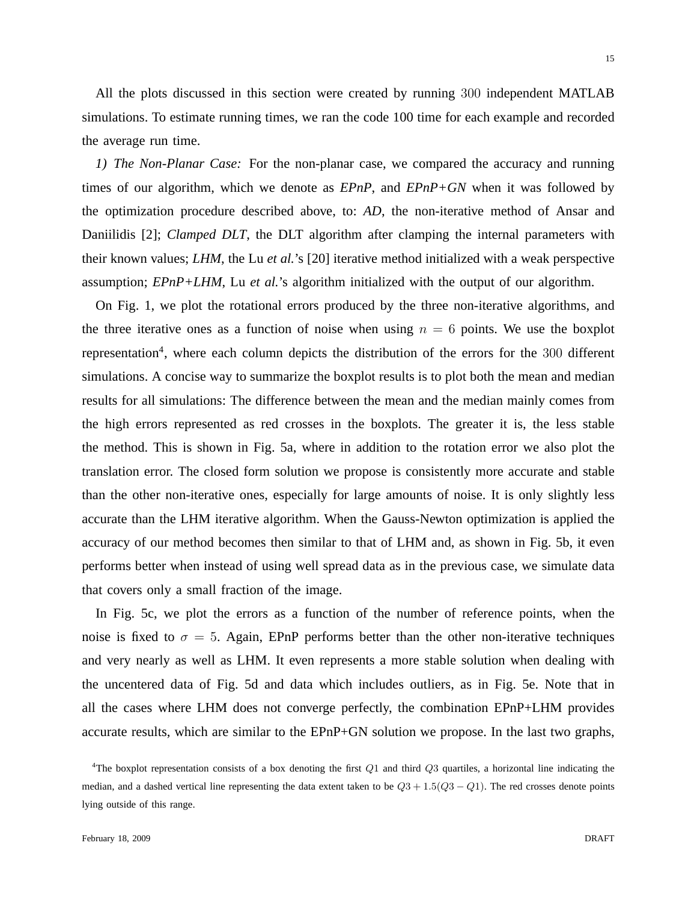All the plots discussed in this section were created by running 300 independent MATLAB simulations. To estimate running times, we ran the code 100 time for each example and recorded the average run time.

*1) The Non-Planar Case:* For the non-planar case, we compared the accuracy and running times of our algorithm, which we denote as *EPnP*, and *EPnP+GN* when it was followed by the optimization procedure described above, to: *AD*, the non-iterative method of Ansar and Daniilidis [2]; *Clamped DLT*, the DLT algorithm after clamping the internal parameters with their known values; *LHM*, the Lu *et al.*'s [20] iterative method initialized with a weak perspective assumption; *EPnP+LHM*, Lu *et al.*'s algorithm initialized with the output of our algorithm.

On Fig. 1, we plot the rotational errors produced by the three non-iterative algorithms, and the three iterative ones as a function of noise when using  $n = 6$  points. We use the boxplot representation<sup>4</sup>, where each column depicts the distribution of the errors for the 300 different simulations. A concise way to summarize the boxplot results is to plot both the mean and median results for all simulations: The difference between the mean and the median mainly comes from the high errors represented as red crosses in the boxplots. The greater it is, the less stable the method. This is shown in Fig. 5a, where in addition to the rotation error we also plot the translation error. The closed form solution we propose is consistently more accurate and stable than the other non-iterative ones, especially for large amounts of noise. It is only slightly less accurate than the LHM iterative algorithm. When the Gauss-Newton optimization is applied the accuracy of our method becomes then similar to that of LHM and, as shown in Fig. 5b, it even performs better when instead of using well spread data as in the previous case, we simulate data that covers only a small fraction of the image.

In Fig. 5c, we plot the errors as a function of the number of reference points, when the noise is fixed to  $\sigma = 5$ . Again, EPnP performs better than the other non-iterative techniques and very nearly as well as LHM. It even represents a more stable solution when dealing with the uncentered data of Fig. 5d and data which includes outliers, as in Fig. 5e. Note that in all the cases where LHM does not converge perfectly, the combination EPnP+LHM provides accurate results, which are similar to the EPnP+GN solution we propose. In the last two graphs,

<sup>&</sup>lt;sup>4</sup>The boxplot representation consists of a box denoting the first  $Q1$  and third  $Q3$  quartiles, a horizontal line indicating the median, and a dashed vertical line representing the data extent taken to be Q3+1.5(Q3 *−* Q1). The red crosses denote points lying outside of this range.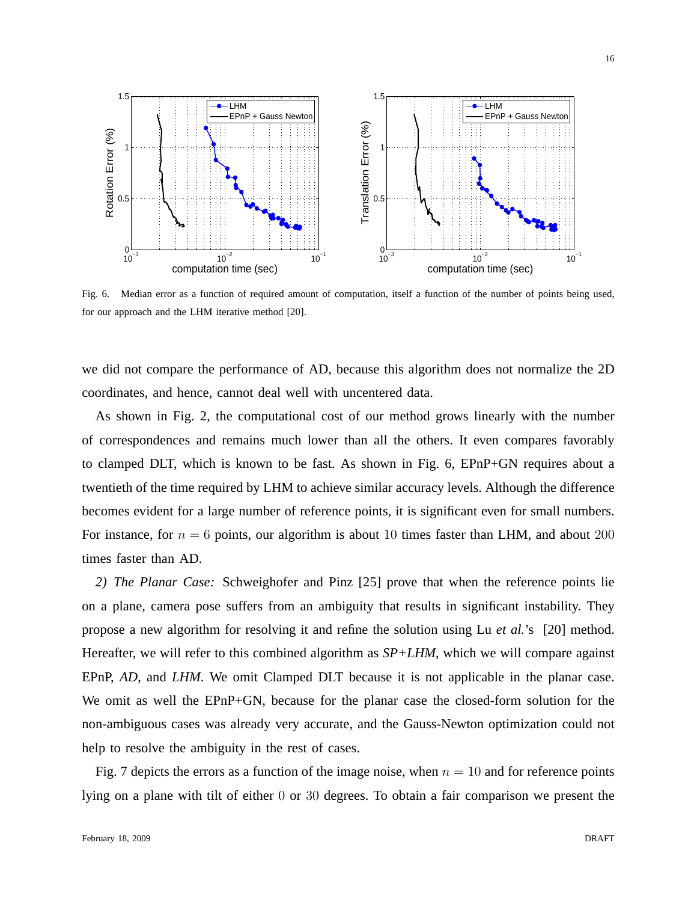

Fig. 6. Median error as a function of required amount of computation, itself a function of the number of points being used, for our approach and the LHM iterative method [20].

we did not compare the performance of AD, because this algorithm does not normalize the 2D coordinates, and hence, cannot deal well with uncentered data.

As shown in Fig. 2, the computational cost of our method grows linearly with the number of correspondences and remains much lower than all the others. It even compares favorably to clamped DLT, which is known to be fast. As shown in Fig. 6, EPnP+GN requires about a twentieth of the time required by LHM to achieve similar accuracy levels. Although the difference becomes evident for a large number of reference points, it is significant even for small numbers. For instance, for  $n = 6$  points, our algorithm is about 10 times faster than LHM, and about 200 times faster than AD.

*2) The Planar Case:* Schweighofer and Pinz [25] prove that when the reference points lie on a plane, camera pose suffers from an ambiguity that results in significant instability. They propose a new algorithm for resolving it and refine the solution using Lu *et al.*'s [20] method. Hereafter, we will refer to this combined algorithm as  $SP+LHM$ , which we will compare against EPnP, *AD*, and *LHM*. We omit Clamped DLT because it is not applicable in the planar case. We omit as well the EPnP+GN, because for the planar case the closed-form solution for the non-ambiguous cases was already very accurate, and the Gauss-Newton optimization could not help to resolve the ambiguity in the rest of cases.

Fig. 7 depicts the errors as a function of the image noise, when  $n = 10$  and for reference points lying on a plane with tilt of either 0 or 30 degrees. To obtain a fair comparison we present the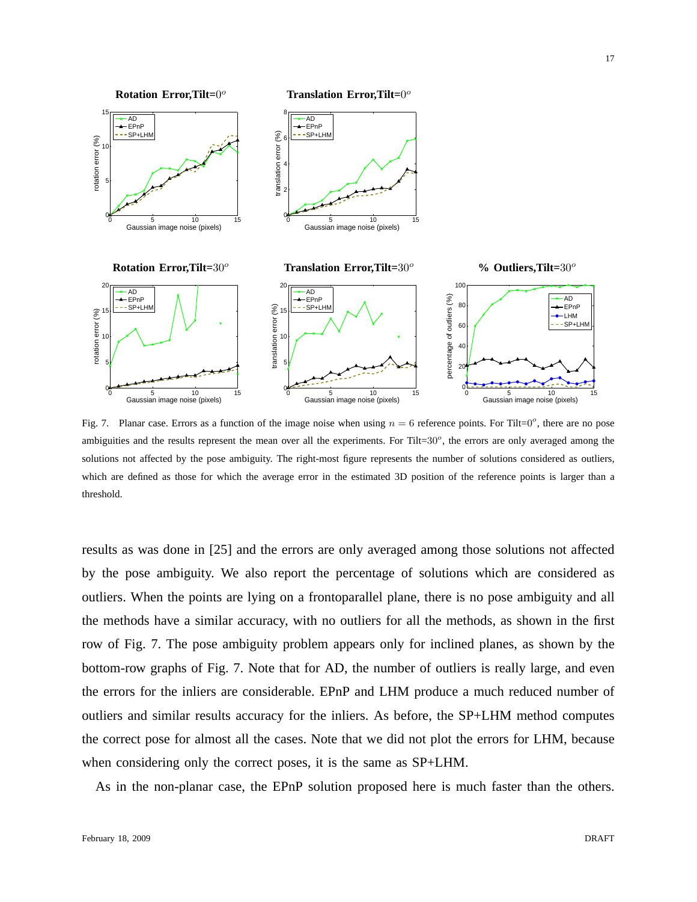

Fig. 7. Planar case. Errors as a function of the image noise when using  $n = 6$  reference points. For Tilt=0<sup>o</sup>, there are no pose ambiguities and the results represent the mean over all the experiments. For Tilt=30<sup>o</sup>, the errors are only averaged among the solutions not affected by the pose ambiguity. The right-most figure represents the number of solutions considered as outliers, which are defined as those for which the average error in the estimated 3D position of the reference points is larger than a threshold.

results as was done in [25] and the errors are only averaged among those solutions not affected by the pose ambiguity. We also report the percentage of solutions which are considered as outliers. When the points are lying on a frontoparallel plane, there is no pose ambiguity and all the methods have a similar accuracy, with no outliers for all the methods, as shown in the first row of Fig. 7. The pose ambiguity problem appears only for inclined planes, as shown by the bottom-row graphs of Fig. 7. Note that for AD, the number of outliers is really large, and even the errors for the inliers are considerable. EPnP and LHM produce a much reduced number of outliers and similar results accuracy for the inliers. As before, the SP+LHM method computes the correct pose for almost all the cases. Note that we did not plot the errors for LHM, because when considering only the correct poses, it is the same as SP+LHM.

As in the non-planar case, the EPnP solution proposed here is much faster than the others.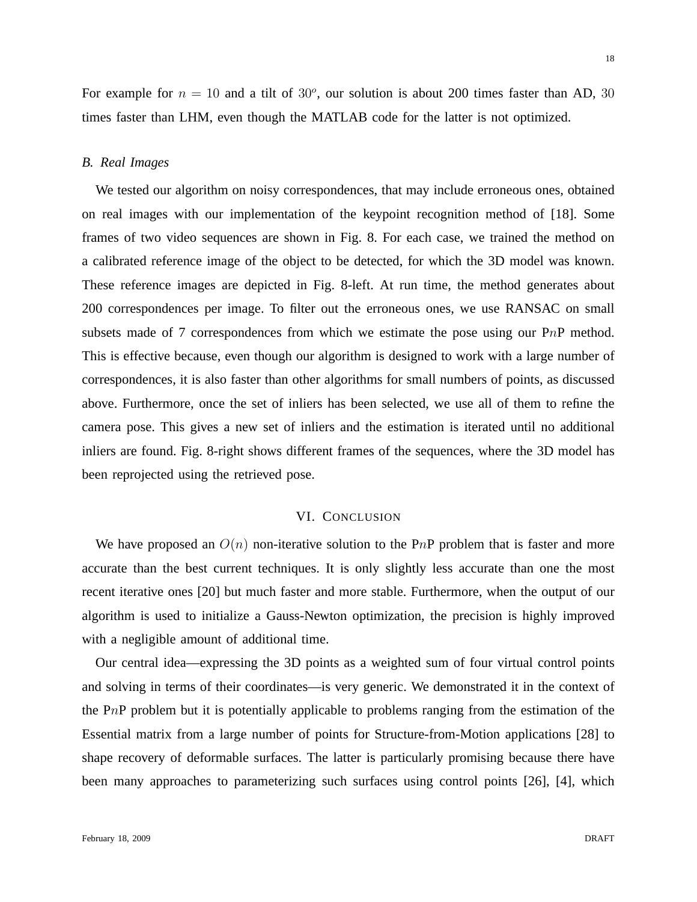For example for  $n = 10$  and a tilt of  $30^{\circ}$ , our solution is about 200 times faster than AD, 30 times faster than LHM, even though the MATLAB code for the latter is not optimized.

### *B. Real Images*

We tested our algorithm on noisy correspondences, that may include erroneous ones, obtained on real images with our implementation of the keypoint recognition method of [18]. Some frames of two video sequences are shown in Fig. 8. For each case, we trained the method on a calibrated reference image of the object to be detected, for which the 3D model was known. These reference images are depicted in Fig. 8-left. At run time, the method generates about 200 correspondences per image. To filter out the erroneous ones, we use RANSAC on small subsets made of 7 correspondences from which we estimate the pose using our  $PnP$  method. This is effective because, even though our algorithm is designed to work with a large number of correspondences, it is also faster than other algorithms for small numbers of points, as discussed above. Furthermore, once the set of inliers has been selected, we use all of them to refine the camera pose. This gives a new set of inliers and the estimation is iterated until no additional inliers are found. Fig. 8-right shows different frames of the sequences, where the 3D model has been reprojected using the retrieved pose.

# VI. CONCLUSION

We have proposed an  $O(n)$  non-iterative solution to the PnP problem that is faster and more accurate than the best current techniques. It is only slightly less accurate than one the most recent iterative ones [20] but much faster and more stable. Furthermore, when the output of our algorithm is used to initialize a Gauss-Newton optimization, the precision is highly improved with a negligible amount of additional time.

Our central idea—expressing the 3D points as a weighted sum of four virtual control points and solving in terms of their coordinates—is very generic. We demonstrated it in the context of the PnP problem but it is potentially applicable to problems ranging from the estimation of the Essential matrix from a large number of points for Structure-from-Motion applications [28] to shape recovery of deformable surfaces. The latter is particularly promising because there have been many approaches to parameterizing such surfaces using control points [26], [4], which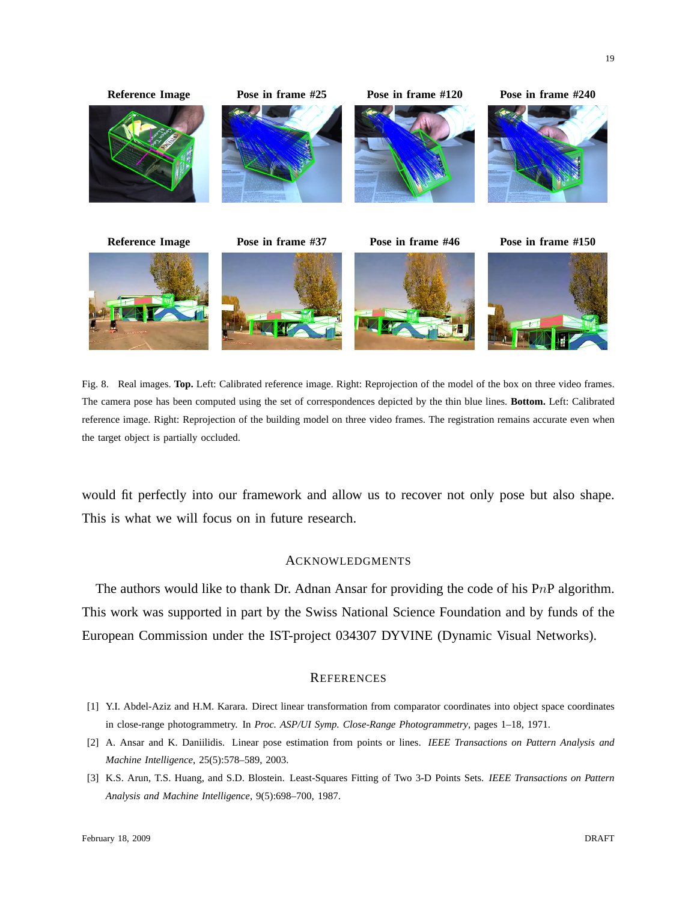

Fig. 8. Real images. **Top.** Left: Calibrated reference image. Right: Reprojection of the model of the box on three video frames. The camera pose has been computed using the set of correspondences depicted by the thin blue lines. **Bottom.** Left: Calibrated reference image. Right: Reprojection of the building model on three video frames. The registration remains accurate even when the target object is partially occluded.

would fit perfectly into our framework and allow us to recover not only pose but also shape. This is what we will focus on in future research.

#### ACKNOWLEDGMENTS

The authors would like to thank Dr. Adnan Ansar for providing the code of his  $PnP$  algorithm. This work was supported in part by the Swiss National Science Foundation and by funds of the European Commission under the IST-project 034307 DYVINE (Dynamic Visual Networks).

#### **REFERENCES**

- [1] Y.I. Abdel-Aziz and H.M. Karara. Direct linear transformation from comparator coordinates into object space coordinates in close-range photogrammetry. In *Proc. ASP/UI Symp. Close-Range Photogrammetry*, pages 1–18, 1971.
- [2] A. Ansar and K. Daniilidis. Linear pose estimation from points or lines. *IEEE Transactions on Pattern Analysis and Machine Intelligence*, 25(5):578–589, 2003.
- [3] K.S. Arun, T.S. Huang, and S.D. Blostein. Least-Squares Fitting of Two 3-D Points Sets. *IEEE Transactions on Pattern Analysis and Machine Intelligence*, 9(5):698–700, 1987.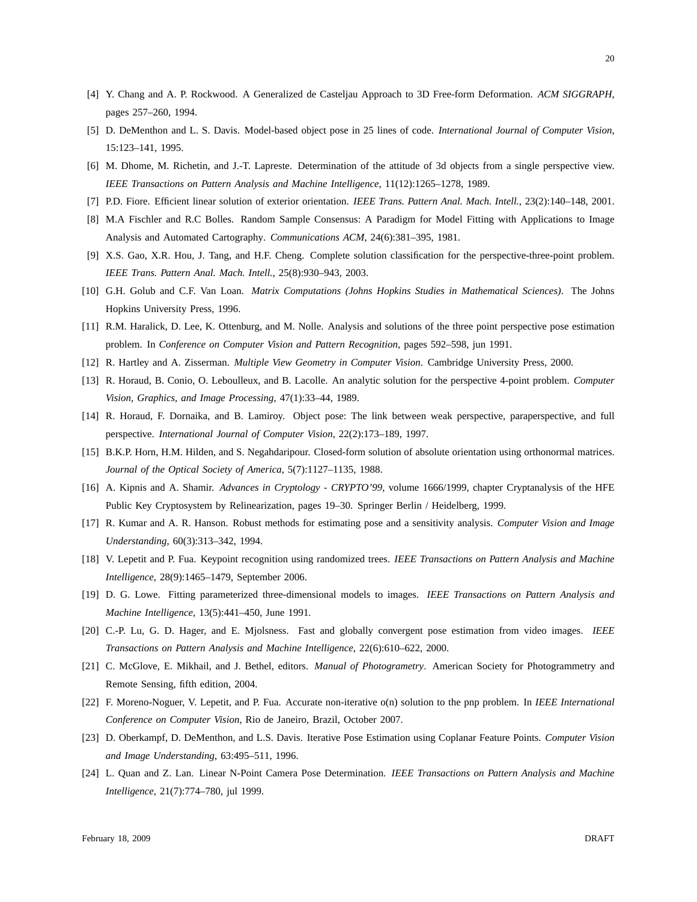- [4] Y. Chang and A. P. Rockwood. A Generalized de Casteljau Approach to 3D Free-form Deformation. *ACM SIGGRAPH*, pages 257–260, 1994.
- [5] D. DeMenthon and L. S. Davis. Model-based object pose in 25 lines of code. *International Journal of Computer Vision*, 15:123–141, 1995.
- [6] M. Dhome, M. Richetin, and J.-T. Lapreste. Determination of the attitude of 3d objects from a single perspective view. *IEEE Transactions on Pattern Analysis and Machine Intelligence*, 11(12):1265–1278, 1989.
- [7] P.D. Fiore. Efficient linear solution of exterior orientation. *IEEE Trans. Pattern Anal. Mach. Intell.*, 23(2):140–148, 2001.
- [8] M.A Fischler and R.C Bolles. Random Sample Consensus: A Paradigm for Model Fitting with Applications to Image Analysis and Automated Cartography. *Communications ACM*, 24(6):381–395, 1981.
- [9] X.S. Gao, X.R. Hou, J. Tang, and H.F. Cheng. Complete solution classification for the perspective-three-point problem. *IEEE Trans. Pattern Anal. Mach. Intell.*, 25(8):930–943, 2003.
- [10] G.H. Golub and C.F. Van Loan. *Matrix Computations (Johns Hopkins Studies in Mathematical Sciences)*. The Johns Hopkins University Press, 1996.
- [11] R.M. Haralick, D. Lee, K. Ottenburg, and M. Nolle. Analysis and solutions of the three point perspective pose estimation problem. In *Conference on Computer Vision and Pattern Recognition*, pages 592–598, jun 1991.
- [12] R. Hartley and A. Zisserman. *Multiple View Geometry in Computer Vision*. Cambridge University Press, 2000.
- [13] R. Horaud, B. Conio, O. Leboulleux, and B. Lacolle. An analytic solution for the perspective 4-point problem. *Computer Vision, Graphics, and Image Processing*, 47(1):33–44, 1989.
- [14] R. Horaud, F. Dornaika, and B. Lamiroy. Object pose: The link between weak perspective, paraperspective, and full perspective. *International Journal of Computer Vision*, 22(2):173–189, 1997.
- [15] B.K.P. Horn, H.M. Hilden, and S. Negahdaripour. Closed-form solution of absolute orientation using orthonormal matrices. *Journal of the Optical Society of America*, 5(7):1127–1135, 1988.
- [16] A. Kipnis and A. Shamir. *Advances in Cryptology CRYPTO'99*, volume 1666/1999, chapter Cryptanalysis of the HFE Public Key Cryptosystem by Relinearization, pages 19–30. Springer Berlin / Heidelberg, 1999.
- [17] R. Kumar and A. R. Hanson. Robust methods for estimating pose and a sensitivity analysis. *Computer Vision and Image Understanding*, 60(3):313–342, 1994.
- [18] V. Lepetit and P. Fua. Keypoint recognition using randomized trees. *IEEE Transactions on Pattern Analysis and Machine Intelligence*, 28(9):1465–1479, September 2006.
- [19] D. G. Lowe. Fitting parameterized three-dimensional models to images. *IEEE Transactions on Pattern Analysis and Machine Intelligence*, 13(5):441–450, June 1991.
- [20] C.-P. Lu, G. D. Hager, and E. Mjolsness. Fast and globally convergent pose estimation from video images. *IEEE Transactions on Pattern Analysis and Machine Intelligence*, 22(6):610–622, 2000.
- [21] C. McGlove, E. Mikhail, and J. Bethel, editors. *Manual of Photogrametry*. American Society for Photogrammetry and Remote Sensing, fifth edition, 2004.
- [22] F. Moreno-Noguer, V. Lepetit, and P. Fua. Accurate non-iterative o(n) solution to the pnp problem. In *IEEE International Conference on Computer Vision*, Rio de Janeiro, Brazil, October 2007.
- [23] D. Oberkampf, D. DeMenthon, and L.S. Davis. Iterative Pose Estimation using Coplanar Feature Points. *Computer Vision and Image Understanding*, 63:495–511, 1996.
- [24] L. Quan and Z. Lan. Linear N-Point Camera Pose Determination. *IEEE Transactions on Pattern Analysis and Machine Intelligence*, 21(7):774–780, jul 1999.